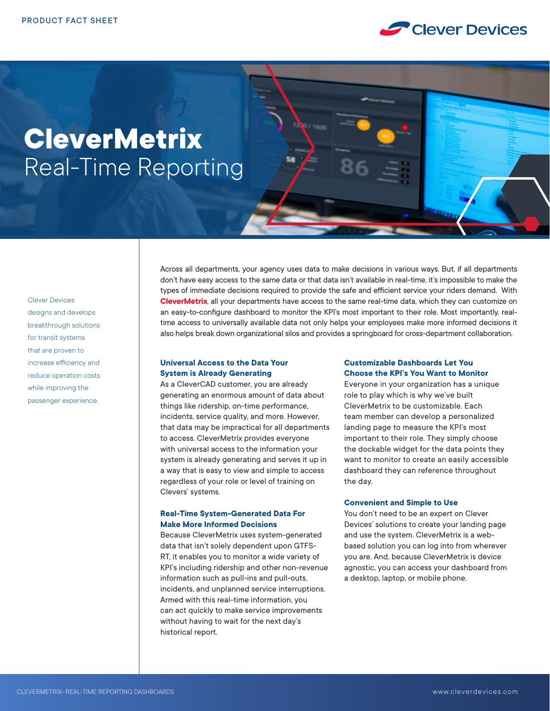

# **CleverMetrix** Real-Time Reporting

Clever Devices designs and develops breakthrough solutions for transit systems that are proven to increase efficiency and reduce operation costs while improving the passenger experience.

Across all departments, your agency uses data to make decisions in various ways. But, if all departments don't have easy access to the same data or that data isn't available in real-time, it's impossible to make the types of immediate decisions required to provide the safe and efficient service your riders demand. With **CleverMetrix**, all your departments have access to the same real-time data, which they can customize on an easy-to-configure dashboard to monitor the KPI's most important to their role. Most importantly, realtime access to universally available data not only helps your employees make more informed decisions it also helps break down organizational silos and provides a springboard for cross-department collaboration.

## **Universal Access to the Data Your System is Already Generating**

As a CleverCAD customer, you are already generating an enormous amount of data about things like ridership, on-time performance, incidents, service quality, and more. However, that data may be impractical for all departments to access. CleverMetrix provides everyone with universal access to the information your system is already generating and serves it up in a way that is easy to view and simple to access regardless of your role or level of training on Clevers' systems.

# **Real-Time System-Generated Data For Make More Informed Decisions**

Because CleverMetrix uses system-generated data that isn't solely dependent upon GTFS-RT, it enables you to monitor a wide variety of KPI's including ridership and other non-revenue information such as pull-ins and pull-outs, incidents, and unplanned service interruptions. Armed with this real-time information, you can act quickly to make service improvements without having to wait for the next day's historical report.

# **Customizable Dashboards Let You Choose the KPI's You Want to Monitor**

Everyone in your organization has a unique role to play which is why we've built CleverMetrix to be customizable. Each team member can develop a personalized landing page to measure the KPI's most important to their role. They simply choose the dockable widget for the data points they want to monitor to create an easily accessible dashboard they can reference throughout the day.

# **Convenient and Simple to Use**

You don't need to be an expert on Clever Devices' solutions to create your landing page and use the system. CleverMetrix is a webbased solution you can log into from wherever you are. And, because CleverMetrix is device agnostic, you can access your dashboard from a desktop, laptop, or mobile phone.